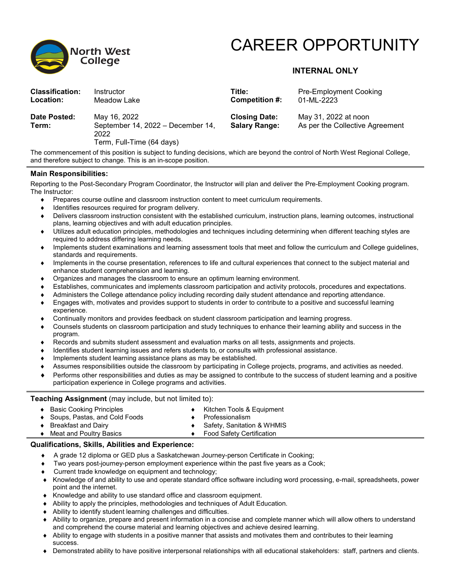

# CAREER OPPORTUNITY

## **INTERNAL ONLY**

| <b>Classification:</b> | Instructor                                                                             | Title:                                       | <b>Pre-Employment Cooking</b>                           |
|------------------------|----------------------------------------------------------------------------------------|----------------------------------------------|---------------------------------------------------------|
| Location:              | Meadow Lake                                                                            | Competition #:                               | 01-ML-2223                                              |
| Date Posted:<br>Term:  | May 16, 2022<br>September 14, 2022 - December 14,<br>2022<br>Term, Full-Time (64 days) | <b>Closing Date:</b><br><b>Salary Range:</b> | May 31, 2022 at noon<br>As per the Collective Agreement |

The commencement of this position is subject to funding decisions, which are beyond the control of North West Regional College, and therefore subject to change. This is an in-scope position.

#### **Main Responsibilities:**

Reporting to the Post-Secondary Program Coordinator, the Instructor will plan and deliver the Pre-Employment Cooking program. The Instructor:

- Prepares course outline and classroom instruction content to meet curriculum requirements.
- Identifies resources required for program delivery.
- Delivers classroom instruction consistent with the established curriculum, instruction plans, learning outcomes, instructional plans, learning objectives and with adult education principles.
- Utilizes adult education principles, methodologies and techniques including determining when different teaching styles are required to address differing learning needs.
- ♦ Implements student examinations and learning assessment tools that meet and follow the curriculum and College guidelines, standards and requirements.
- Implements in the course presentation, references to life and cultural experiences that connect to the subject material and enhance student comprehension and learning.
- Organizes and manages the classroom to ensure an optimum learning environment.
- Establishes, communicates and implements classroom participation and activity protocols, procedures and expectations.
- Administers the College attendance policy including recording daily student attendance and reporting attendance.
- Engages with, motivates and provides support to students in order to contribute to a positive and successful learning experience.
- Continually monitors and provides feedback on student classroom participation and learning progress.
- ♦ Counsels students on classroom participation and study techniques to enhance their learning ability and success in the program.
- Records and submits student assessment and evaluation marks on all tests, assignments and projects.
- Identifies student learning issues and refers students to, or consults with professional assistance.
- Implements student learning assistance plans as may be established.
- Assumes responsibilities outside the classroom by participating in College projects, programs, and activities as needed.
- Performs other responsibilities and duties as may be assigned to contribute to the success of student learning and a positive participation experience in College programs and activities.

#### **Teaching Assignment** (may include, but not limited to):

- ♦ Basic Cooking Principles
- Soups, Pastas, and Cold Foods
- Professionalism

**Breakfast and Dairy** 

- Safety, Sanitation & WHMIS
- ♦ Meat and Poultry Basics

**Food Safety Certification** 

Kitchen Tools & Equipment

### **Qualifications, Skills, Abilities and Experience:**

- ♦ A grade 12 diploma or GED plus a Saskatchewan Journey-person Certificate in Cooking;
- Two years post-journey-person employment experience within the past five years as a Cook;
- Current trade knowledge on equipment and technology;
- ♦ Knowledge of and ability to use and operate standard office software including word processing, e-mail, spreadsheets, power point and the internet.
- ♦ Knowledge and ability to use standard office and classroom equipment.
- ♦ Ability to apply the principles, methodologies and techniques of Adult Education.
- ♦ Ability to identify student learning challenges and difficulties.
- ♦ Ability to organize, prepare and present information in a concise and complete manner which will allow others to understand and comprehend the course material and learning objectives and achieve desired learning.
- ♦ Ability to engage with students in a positive manner that assists and motivates them and contributes to their learning success.
- ♦ Demonstrated ability to have positive interpersonal relationships with all educational stakeholders: staff, partners and clients.